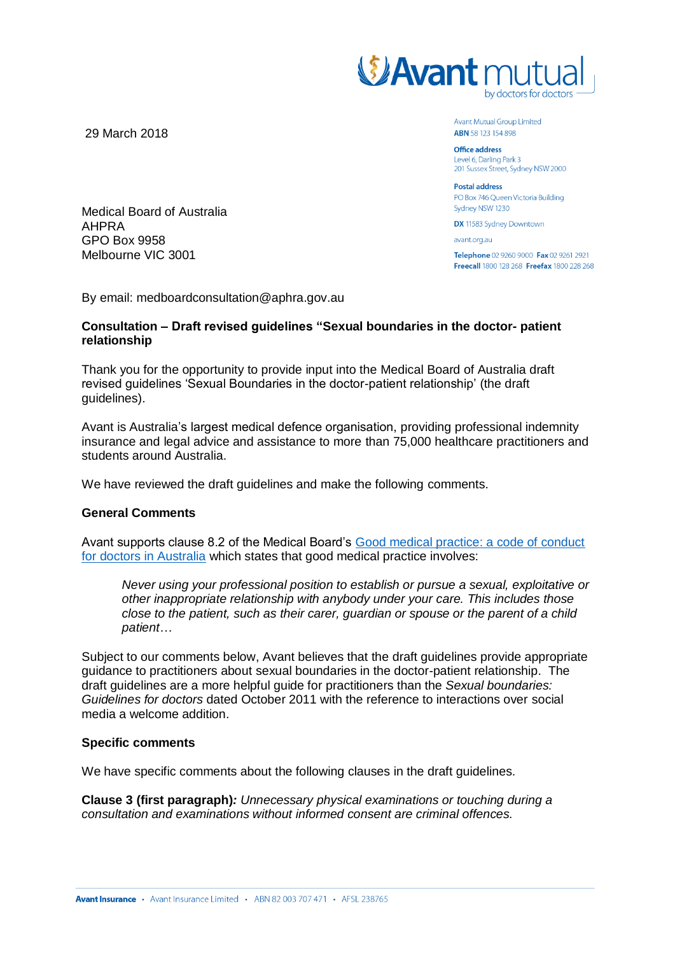

**Avant Mutual Group Limited ABN** 58 123 154 898

**Office address** Level 6, Darling Park 3 201 Sussex Street, Sydney NSW 2000

**Postal address** PO Box 746 Queen Victoria Building Sydney NSW 1230

**DX** 11583 Sydney Downtown

avant.org.au

Telephone 02 9260 9000 Fax 02 9261 2921 Freecall 1800 128 268 Freefax 1800 228 268

29 March 2018

Medical Board of Australia AHPRA GPO Box 9958 Melbourne VIC 3001

By email: medboardconsultation@aphra.gov.au

## **Consultation – Draft revised guidelines "Sexual boundaries in the doctor- patient relationship**

Thank you for the opportunity to provide input into the Medical Board of Australia draft revised guidelines 'Sexual Boundaries in the doctor-patient relationship' (the draft guidelines).

Avant is Australia's largest medical defence organisation, providing professional indemnity insurance and legal advice and assistance to more than 75,000 healthcare practitioners and students around Australia.

We have reviewed the draft guidelines and make the following comments.

## **General Comments**

Avant supports clause 8.2 of the Medical Board's [Good medical practice: a code of conduct](http://www.medicalboard.gov.au/documents/default.aspx?record=WD14%2f13332&dbid=AP&chksum=1GnSQD5LhB2UvesdywVfbw%3d%3d)  [for doctors in Australia](http://www.medicalboard.gov.au/documents/default.aspx?record=WD14%2f13332&dbid=AP&chksum=1GnSQD5LhB2UvesdywVfbw%3d%3d) which states that good medical practice involves:

*Never using your professional position to establish or pursue a sexual, exploitative or other inappropriate relationship with anybody under your care. This includes those close to the patient, such as their carer, guardian or spouse or the parent of a child patient…* 

Subject to our comments below, Avant believes that the draft guidelines provide appropriate guidance to practitioners about sexual boundaries in the doctor-patient relationship. The draft guidelines are a more helpful guide for practitioners than the *Sexual boundaries: Guidelines for doctors* dated October 2011 with the reference to interactions over social media a welcome addition.

## **Specific comments**

We have specific comments about the following clauses in the draft guidelines.

**Clause 3 (first paragraph)***: Unnecessary physical examinations or touching during a consultation and examinations without informed consent are criminal offences.*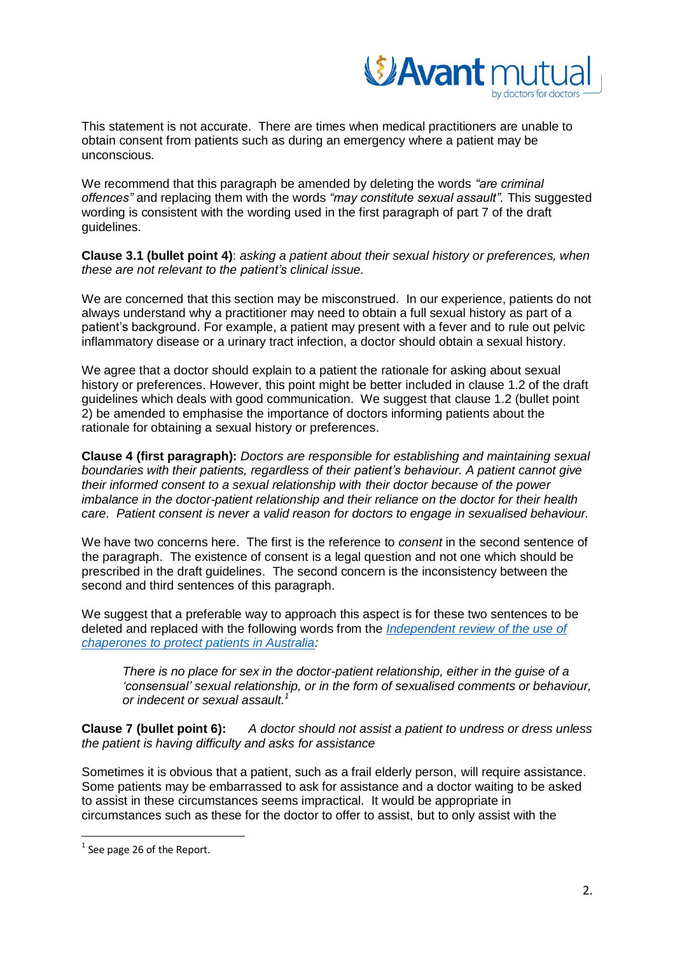

This statement is not accurate. There are times when medical practitioners are unable to obtain consent from patients such as during an emergency where a patient may be unconscious.

We recommend that this paragraph be amended by deleting the words *"are criminal offences"* and replacing them with the words *"may constitute sexual assault".* This suggested wording is consistent with the wording used in the first paragraph of part 7 of the draft guidelines.

**Clause 3.1 (bullet point 4)**: *asking a patient about their sexual history or preferences, when these are not relevant to the patient's clinical issue.* 

We are concerned that this section may be misconstrued. In our experience, patients do not always understand why a practitioner may need to obtain a full sexual history as part of a patient's background. For example, a patient may present with a fever and to rule out pelvic inflammatory disease or a urinary tract infection, a doctor should obtain a sexual history.

We agree that a doctor should explain to a patient the rationale for asking about sexual history or preferences. However, this point might be better included in clause 1.2 of the draft guidelines which deals with good communication. We suggest that clause 1.2 (bullet point 2) be amended to emphasise the importance of doctors informing patients about the rationale for obtaining a sexual history or preferences.

**Clause 4 (first paragraph):** *Doctors are responsible for establishing and maintaining sexual boundaries with their patients, regardless of their patient's behaviour. A patient cannot give their informed consent to a sexual relationship with their doctor because of the power imbalance in the doctor-patient relationship and their reliance on the doctor for their health care. Patient consent is never a valid reason for doctors to engage in sexualised behaviour.* 

We have two concerns here. The first is the reference to *consent* in the second sentence of the paragraph. The existence of consent is a legal question and not one which should be prescribed in the draft guidelines. The second concern is the inconsistency between the second and third sentences of this paragraph.

We suggest that a preferable way to approach this aspect is for these two sentences to be deleted and replaced with the following words from the *[Independent review of the use of](http://www.ahpra.gov.au/News/2017-04-11-chaperone-report.aspx)  [chaperones to protect patients in Australia:](http://www.ahpra.gov.au/News/2017-04-11-chaperone-report.aspx)* 

*There is no place for sex in the doctor-patient relationship, either in the guise of a 'consensual' sexual relationship, or in the form of sexualised comments or behaviour, or indecent or sexual assault.<sup>1</sup>*

**Clause 7 (bullet point 6):** *A doctor should not assist a patient to undress or dress unless the patient is having difficulty and asks for assistance*

Sometimes it is obvious that a patient, such as a frail elderly person, will require assistance. Some patients may be embarrassed to ask for assistance and a doctor waiting to be asked to assist in these circumstances seems impractical. It would be appropriate in circumstances such as these for the doctor to offer to assist, but to only assist with the

 $^{1}$  See page 26 of the Report.